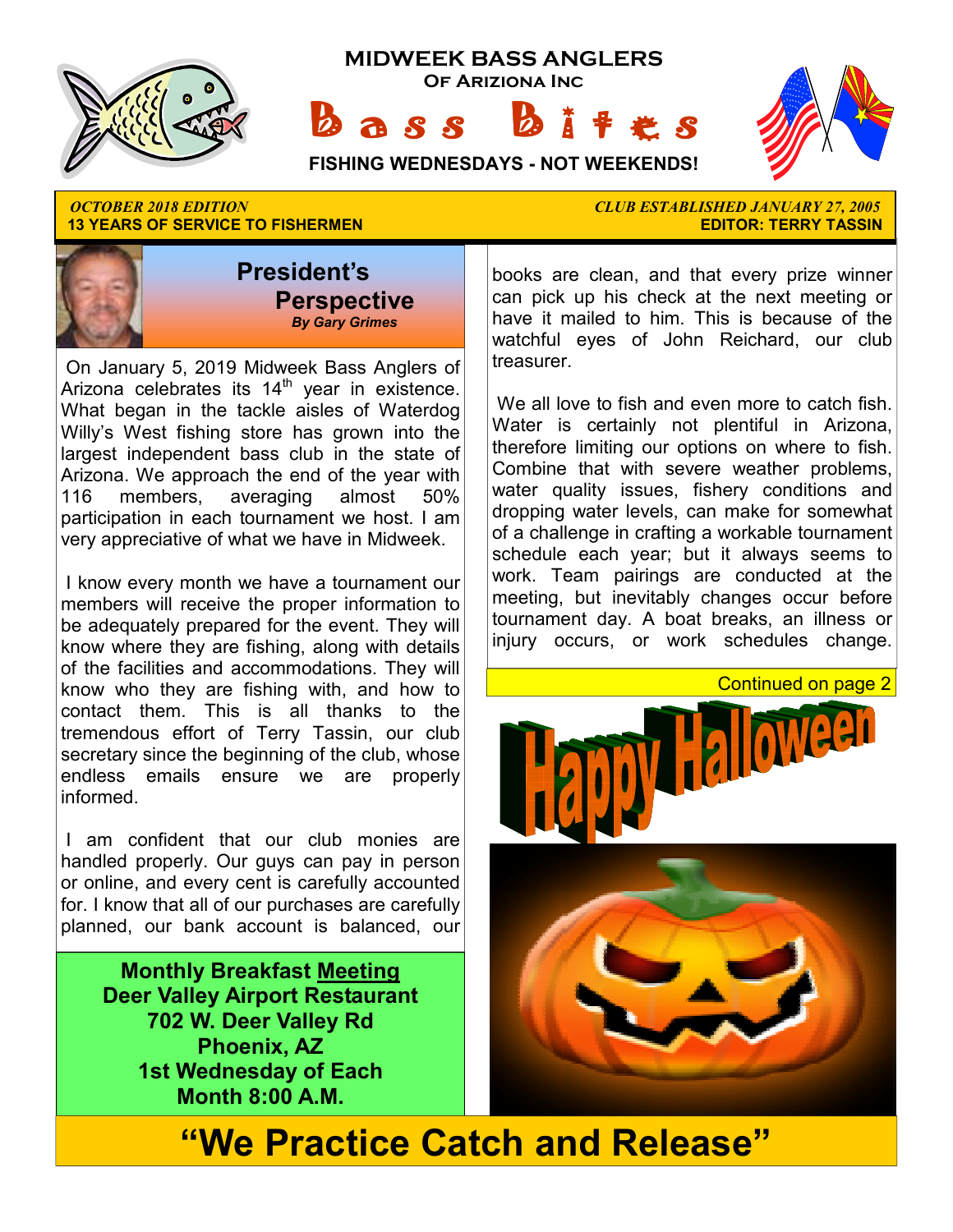

**13 YEARS OF SERVICE TO FISHERMEN** 



 On January 5, 2019 Midweek Bass Anglers of Arizona celebrates its  $14<sup>th</sup>$  year in existence. What began in the tackle aisles of Waterdog Willy's West fishing store has grown into the largest independent bass club in the state of Arizona. We approach the end of the year with 116 members, averaging almost 50% participation in each tournament we host. I am very appreciative of what we have in Midweek.

 I know every month we have a tournament our members will receive the proper information to be adequately prepared for the event. They will know where they are fishing, along with details of the facilities and accommodations. They will know who they are fishing with, and how to contact them. This is all thanks to the tremendous effort of Terry Tassin, our club secretary since the beginning of the club, whose endless emails ensure we are properly informed.

 I am confident that our club monies are handled properly. Our guys can pay in person or online, and every cent is carefully accounted for. I know that all of our purchases are carefully planned, our bank account is balanced, our

> **Monthly Breakfast Meeting Deer Valley Airport Restaurant 702 W. Deer Valley Rd Phoenix, AZ 1st Wednesday of Each Month 8:00 A.M.**

*OCTOBER 2018 EDITION CLUB ESTABLISHED JANUARY 27, 2005* 

books are clean, and that every prize winner can pick up his check at the next meeting or have it mailed to him. This is because of the watchful eyes of John Reichard, our club treasurer.

 We all love to fish and even more to catch fish. Water is certainly not plentiful in Arizona, therefore limiting our options on where to fish. Combine that with severe weather problems, water quality issues, fishery conditions and dropping water levels, can make for somewhat of a challenge in crafting a workable tournament schedule each year; but it always seems to work. Team pairings are conducted at the meeting, but inevitably changes occur before tournament day. A boat breaks, an illness or injury occurs, or work schedules change.

Continued on page 2



**"We Practice Catch and Release"**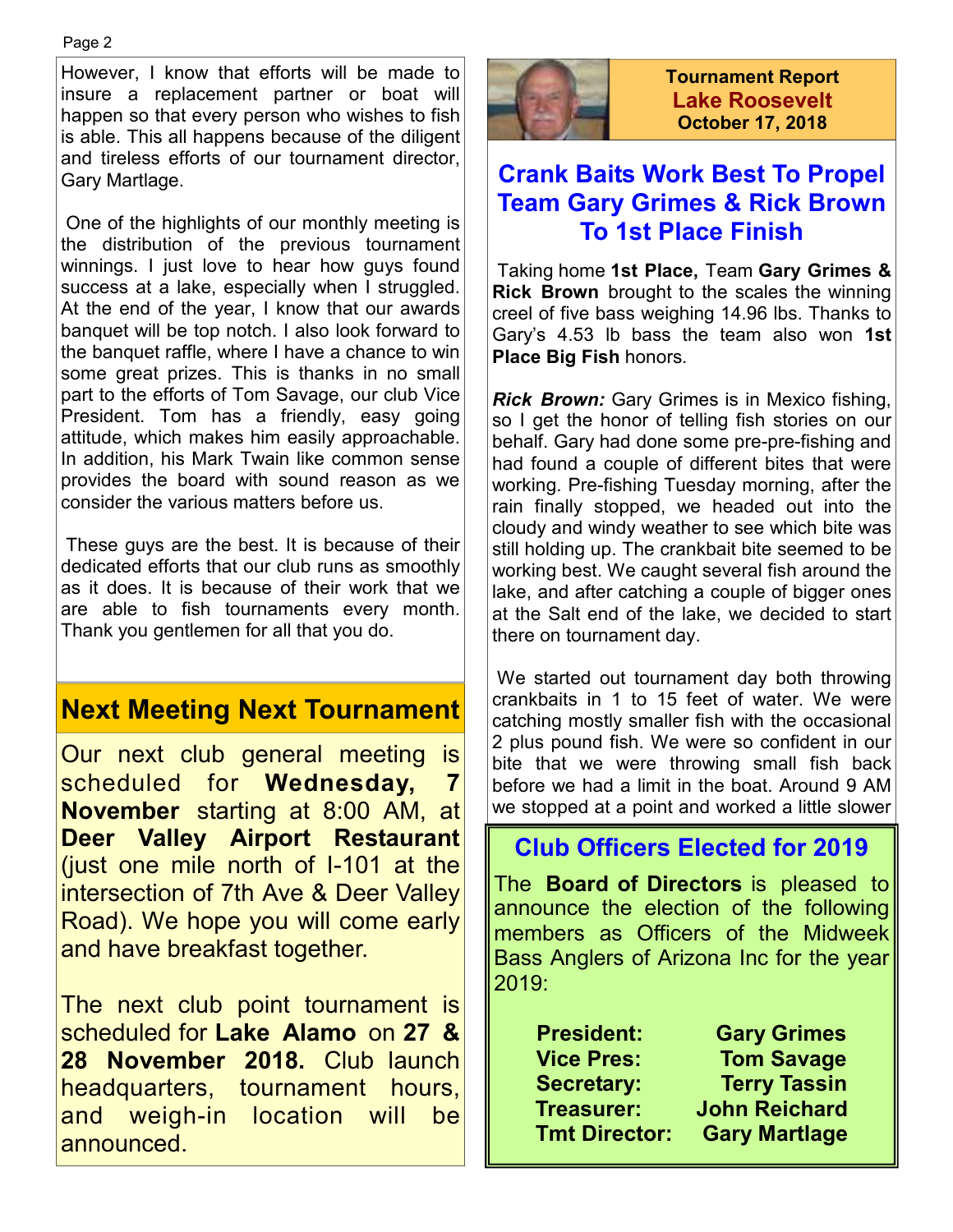However, I know that efforts will be made to insure a replacement partner or boat will happen so that every person who wishes to fish is able. This all happens because of the diligent and tireless efforts of our tournament director, Gary Martlage.

 One of the highlights of our monthly meeting is the distribution of the previous tournament winnings. I just love to hear how guys found success at a lake, especially when I struggled. At the end of the year, I know that our awards banquet will be top notch. I also look forward to the banquet raffle, where I have a chance to win some great prizes. This is thanks in no small part to the efforts of Tom Savage, our club Vice President. Tom has a friendly, easy going attitude, which makes him easily approachable. In addition, his Mark Twain like common sense provides the board with sound reason as we consider the various matters before us.

 These guys are the best. It is because of their dedicated efforts that our club runs as smoothly as it does. It is because of their work that we are able to fish tournaments every month. Thank you gentlemen for all that you do.

# **Next Meeting Next Tournament**

Our next club general meeting is scheduled for **Wednesday, 7 November** starting at 8:00 AM, at **Deer Valley Airport Restaurant**  (just one mile north of I-101 at the intersection of 7th Ave & Deer Valley Road). We hope you will come early and have breakfast together.

The next club point tournament is scheduled for **Lake Alamo** on **27 & 28 November 2018.** Club launch headquarters, tournament hours, and weigh-in location will be announced.



**Tournament Report Lake Roosevelt October 17, 2018**

## **Crank Baits Work Best To Propel Team Gary Grimes & Rick Brown To 1st Place Finish**

 Taking home **1st Place,** Team **Gary Grimes & Rick Brown** brought to the scales the winning creel of five bass weighing 14.96 lbs. Thanks to Gary's 4.53 lb bass the team also won **1st Place Big Fish** honors.

*Rick Brown:* Gary Grimes is in Mexico fishing, so I get the honor of telling fish stories on our behalf. Gary had done some pre-pre-fishing and had found a couple of different bites that were working. Pre-fishing Tuesday morning, after the rain finally stopped, we headed out into the cloudy and windy weather to see which bite was still holding up. The crankbait bite seemed to be working best. We caught several fish around the lake, and after catching a couple of bigger ones at the Salt end of the lake, we decided to start there on tournament day.

 We started out tournament day both throwing crankbaits in 1 to 15 feet of water. We were catching mostly smaller fish with the occasional 2 plus pound fish. We were so confident in our bite that we were throwing small fish back before we had a limit in the boat. Around 9 AM we stopped at a point and worked a little slower

# **Club Officers Elected for 2019**

The **Board of Directors** is pleased to announce the election of the following members as Officers of the Midweek Bass Anglers of Arizona Inc for the year 2019:

| <b>President:</b>    | <b>Gary Grimes</b>   |
|----------------------|----------------------|
| <b>Vice Pres:</b>    | <b>Tom Savage</b>    |
| <b>Secretary:</b>    | <b>Terry Tassin</b>  |
| <b>Treasurer:</b>    | <b>John Reichard</b> |
| <b>Tmt Director:</b> | <b>Gary Martlage</b> |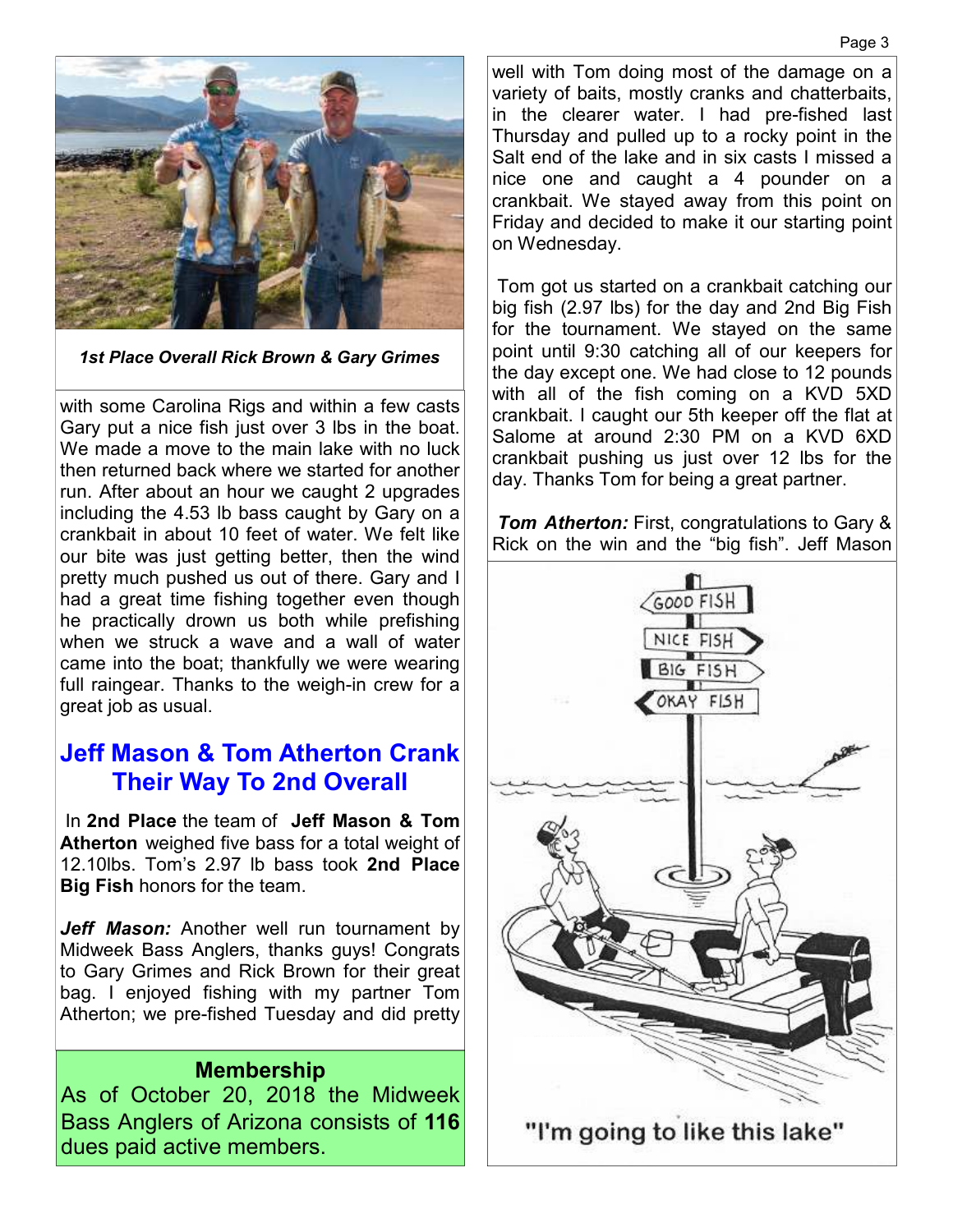

*1st Place Overall Rick Brown & Gary Grimes* 

with some Carolina Rigs and within a few casts Gary put a nice fish just over 3 lbs in the boat. We made a move to the main lake with no luck then returned back where we started for another run. After about an hour we caught 2 upgrades including the 4.53 lb bass caught by Gary on a crankbait in about 10 feet of water. We felt like our bite was just getting better, then the wind pretty much pushed us out of there. Gary and I had a great time fishing together even though he practically drown us both while prefishing when we struck a wave and a wall of water came into the boat; thankfully we were wearing full raingear. Thanks to the weigh-in crew for a great job as usual.

## **Jeff Mason & Tom Atherton Crank Their Way To 2nd Overall**

 In **2nd Place** the team of **Jeff Mason & Tom Atherton** weighed five bass for a total weight of 12.10lbs. Tom's 2.97 lb bass took **2nd Place Big Fish** honors for the team.

*Jeff Mason:* Another well run tournament by Midweek Bass Anglers, thanks guys! Congrats to Gary Grimes and Rick Brown for their great bag. I enjoyed fishing with my partner Tom Atherton; we pre-fished Tuesday and did pretty

#### **Membership**

As of October 20, 2018 the Midweek Bass Anglers of Arizona consists of **116**  dues paid active members.

well with Tom doing most of the damage on a variety of baits, mostly cranks and chatterbaits, in the clearer water. I had pre-fished last Thursday and pulled up to a rocky point in the Salt end of the lake and in six casts I missed a nice one and caught a 4 pounder on a crankbait. We stayed away from this point on Friday and decided to make it our starting point on Wednesday.

 Tom got us started on a crankbait catching our big fish (2.97 lbs) for the day and 2nd Big Fish for the tournament. We stayed on the same point until 9:30 catching all of our keepers for the day except one. We had close to 12 pounds with all of the fish coming on a KVD 5XD crankbait. I caught our 5th keeper off the flat at Salome at around 2:30 PM on a KVD 6XD crankbait pushing us just over 12 lbs for the day. Thanks Tom for being a great partner.

*Tom Atherton:* First, congratulations to Gary & Rick on the win and the "big fish". Jeff Mason

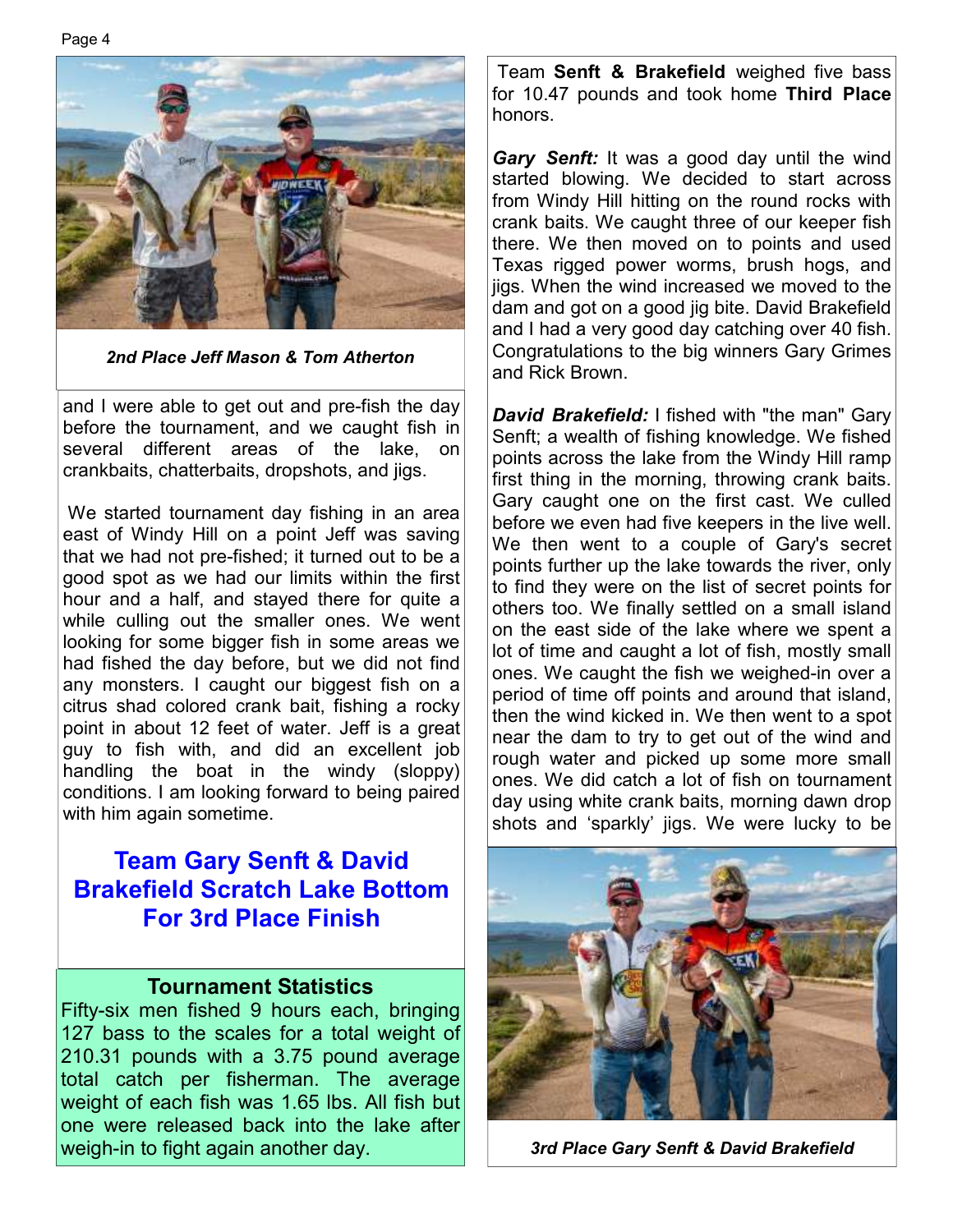Page 4



*2nd Place Jeff Mason & Tom Atherton*

and I were able to get out and pre-fish the day before the tournament, and we caught fish in several different areas of the lake, on crankbaits, chatterbaits, dropshots, and jigs.

 We started tournament day fishing in an area east of Windy Hill on a point Jeff was saving that we had not pre-fished; it turned out to be a good spot as we had our limits within the first hour and a half, and stayed there for quite a while culling out the smaller ones. We went looking for some bigger fish in some areas we had fished the day before, but we did not find any monsters. I caught our biggest fish on a citrus shad colored crank bait, fishing a rocky point in about 12 feet of water. Jeff is a great guy to fish with, and did an excellent job handling the boat in the windy (sloppy) conditions. I am looking forward to being paired with him again sometime.

## **Team Gary Senft & David Brakefield Scratch Lake Bottom For 3rd Place Finish**

#### **Tournament Statistics**

Fifty-six men fished 9 hours each, bringing 127 bass to the scales for a total weight of 210.31 pounds with a 3.75 pound average total catch per fisherman. The average weight of each fish was 1.65 lbs. All fish but one were released back into the lake after weigh-in to fight again another day.

 Team **Senft & Brakefield** weighed five bass for 10.47 pounds and took home **Third Place**  honors.

*Gary Senft:* It was a good day until the wind started blowing. We decided to start across from Windy Hill hitting on the round rocks with crank baits. We caught three of our keeper fish there. We then moved on to points and used Texas rigged power worms, brush hogs, and jigs. When the wind increased we moved to the dam and got on a good jig bite. David Brakefield and I had a very good day catching over 40 fish. Congratulations to the big winners Gary Grimes and Rick Brown.

*David Brakefield:* I fished with "the man" Gary Senft; a wealth of fishing knowledge. We fished points across the lake from the Windy Hill ramp first thing in the morning, throwing crank baits. Gary caught one on the first cast. We culled before we even had five keepers in the live well. We then went to a couple of Gary's secret points further up the lake towards the river, only to find they were on the list of secret points for others too. We finally settled on a small island on the east side of the lake where we spent a lot of time and caught a lot of fish, mostly small ones. We caught the fish we weighed-in over a period of time off points and around that island, then the wind kicked in. We then went to a spot near the dam to try to get out of the wind and rough water and picked up some more small ones. We did catch a lot of fish on tournament day using white crank baits, morning dawn drop shots and 'sparkly' jigs. We were lucky to be



*3rd Place Gary Senft & David Brakefield*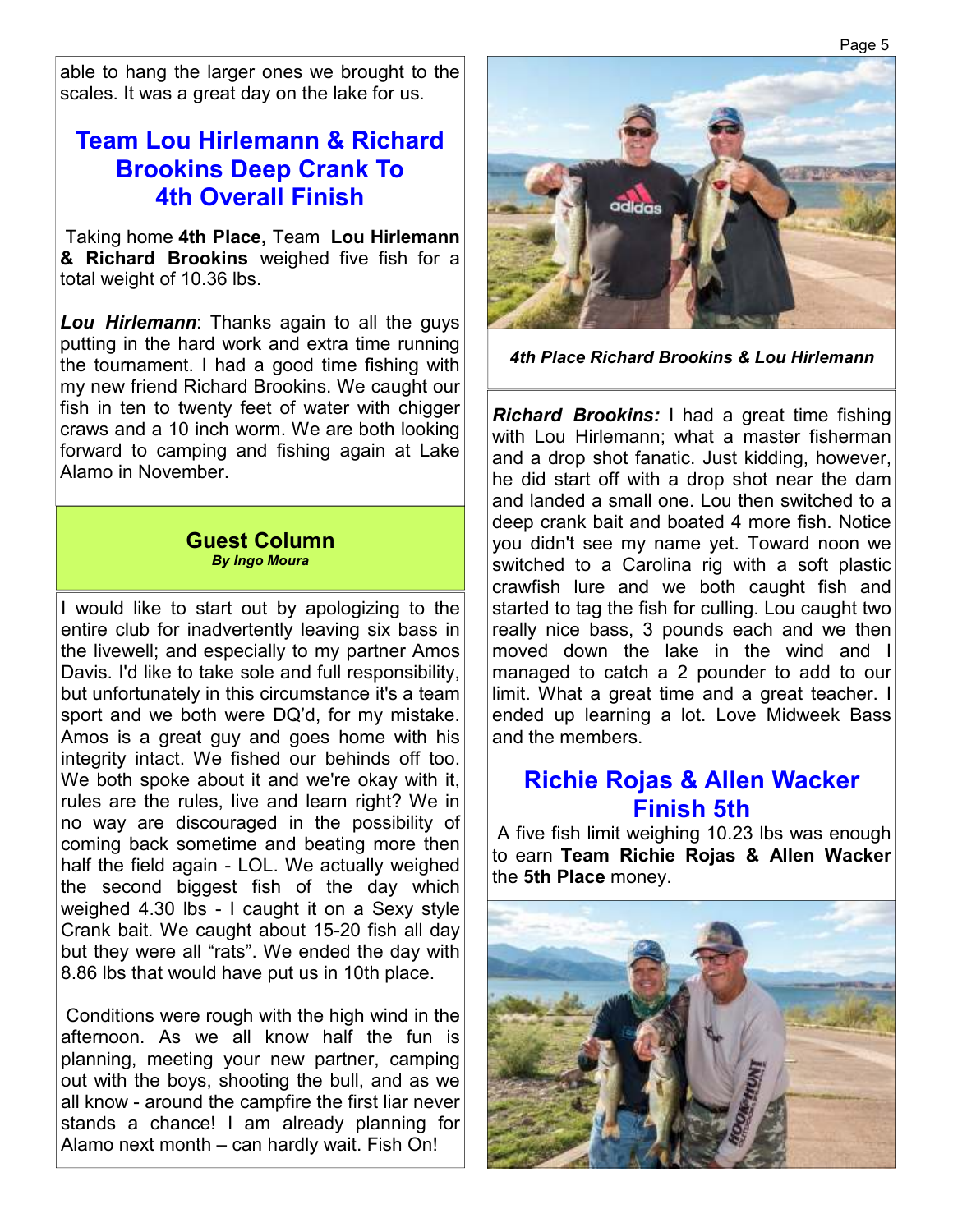able to hang the larger ones we brought to the scales. It was a great day on the lake for us.

## **Team Lou Hirlemann & Richard Brookins Deep Crank To 4th Overall Finish**

 Taking home **4th Place,** Team **Lou Hirlemann & Richard Brookins** weighed five fish for a total weight of 10.36 lbs.

*Lou Hirlemann*: Thanks again to all the guys putting in the hard work and extra time running the tournament. I had a good time fishing with my new friend Richard Brookins. We caught our fish in ten to twenty feet of water with chigger craws and a 10 inch worm. We are both looking forward to camping and fishing again at Lake Alamo in November.

#### **Guest Column**  *By Ingo Moura*

I would like to start out by apologizing to the entire club for inadvertently leaving six bass in the livewell; and especially to my partner Amos Davis. I'd like to take sole and full responsibility, but unfortunately in this circumstance it's a team sport and we both were DQ'd, for my mistake. Amos is a great guy and goes home with his integrity intact. We fished our behinds off too. We both spoke about it and we're okay with it. rules are the rules, live and learn right? We in no way are discouraged in the possibility of coming back sometime and beating more then half the field again - LOL. We actually weighed the second biggest fish of the day which weighed 4.30 lbs - I caught it on a Sexy style Crank bait. We caught about 15-20 fish all day but they were all "rats". We ended the day with 8.86 lbs that would have put us in 10th place.

 Conditions were rough with the high wind in the afternoon. As we all know half the fun is planning, meeting your new partner, camping out with the boys, shooting the bull, and as we all know - around the campfire the first liar never stands a chance! I am already planning for Alamo next month – can hardly wait. Fish On!



*4th Place Richard Brookins & Lou Hirlemann* 

*Richard Brookins:* I had a great time fishing with Lou Hirlemann; what a master fisherman and a drop shot fanatic. Just kidding, however, he did start off with a drop shot near the dam and landed a small one. Lou then switched to a deep crank bait and boated 4 more fish. Notice you didn't see my name yet. Toward noon we switched to a Carolina rig with a soft plastic crawfish lure and we both caught fish and started to tag the fish for culling. Lou caught two really nice bass, 3 pounds each and we then moved down the lake in the wind and I managed to catch a 2 pounder to add to our limit. What a great time and a great teacher. I ended up learning a lot. Love Midweek Bass and the members.

## **Richie Rojas & Allen Wacker Finish 5th**

 A five fish limit weighing 10.23 lbs was enough to earn **Team Richie Rojas & Allen Wacker**  the **5th Place** money.

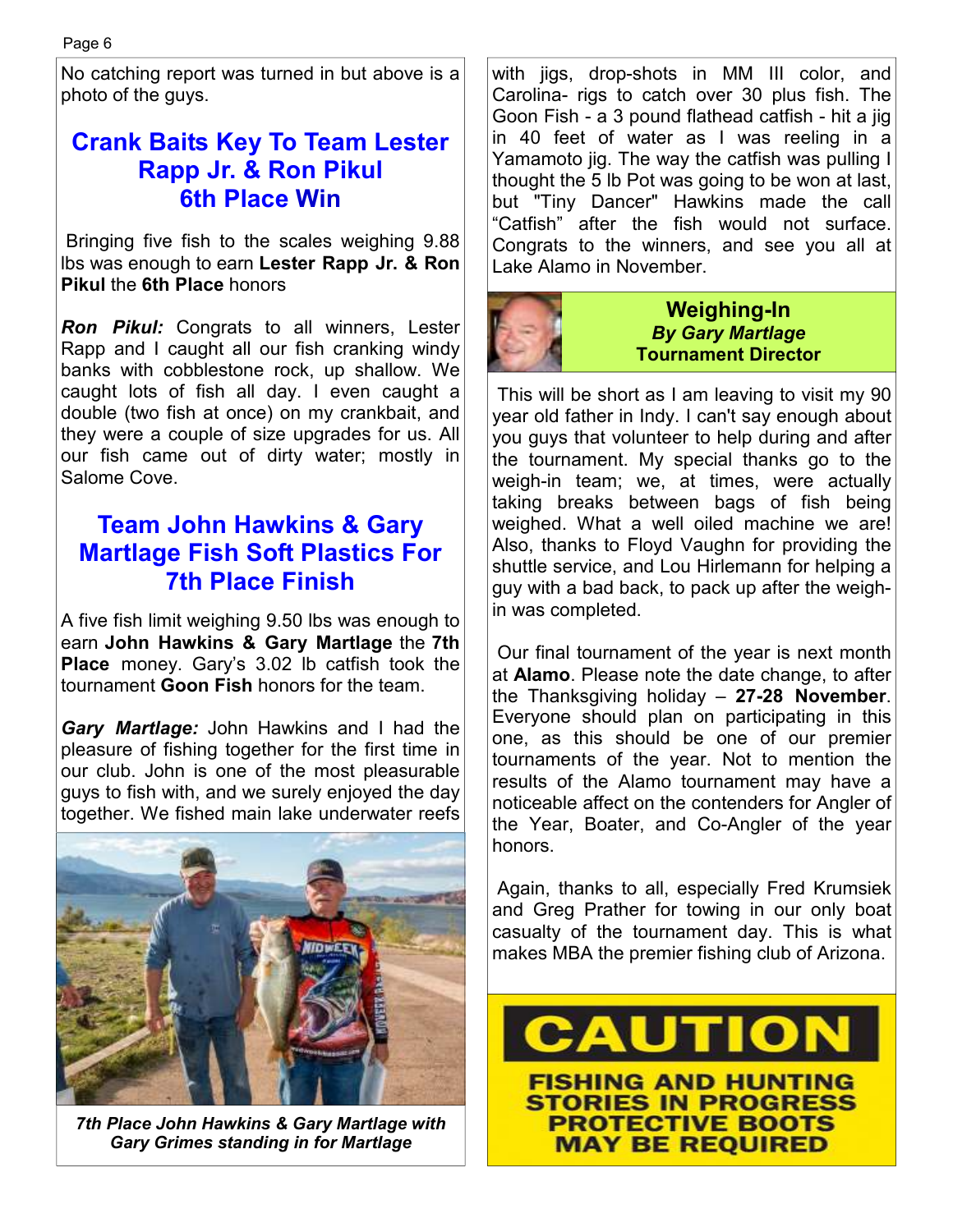No catching report was turned in but above is a photo of the guys.

# **Crank Baits Key To Team Lester Rapp Jr. & Ron Pikul 6th Place Win**

 Bringing five fish to the scales weighing 9.88 lbs was enough to earn **Lester Rapp Jr. & Ron Pikul** the **6th Place** honors

*Ron Pikul:* Congrats to all winners, Lester Rapp and I caught all our fish cranking windy banks with cobblestone rock, up shallow. We caught lots of fish all day. I even caught a double (two fish at once) on my crankbait, and they were a couple of size upgrades for us. All our fish came out of dirty water; mostly in Salome Cove.

# **Team John Hawkins & Gary Martlage Fish Soft Plastics For 7th Place Finish**

A five fish limit weighing 9.50 lbs was enough to earn **John Hawkins & Gary Martlage** the **7th Place** money. Gary's 3.02 lb catfish took the tournament **Goon Fish** honors for the team.

*Gary Martlage:* John Hawkins and I had the pleasure of fishing together for the first time in our club. John is one of the most pleasurable guys to fish with, and we surely enjoyed the day together. We fished main lake underwater reefs



*7th Place John Hawkins & Gary Martlage with Gary Grimes standing in for Martlage* 

with jigs, drop-shots in MM III color, and Carolina- rigs to catch over 30 plus fish. The Goon Fish - a 3 pound flathead catfish - hit a jig in 40 feet of water as I was reeling in a Yamamoto jig. The way the catfish was pulling I thought the 5 lb Pot was going to be won at last, but "Tiny Dancer" Hawkins made the call "Catfish" after the fish would not surface. Congrats to the winners, and see you all at Lake Alamo in November.



 This will be short as I am leaving to visit my 90 year old father in Indy. I can't say enough about you guys that volunteer to help during and after the tournament. My special thanks go to the weigh-in team; we, at times, were actually taking breaks between bags of fish being weighed. What a well oiled machine we are! Also, thanks to Floyd Vaughn for providing the shuttle service, and Lou Hirlemann for helping a guy with a bad back, to pack up after the weighin was completed.

 Our final tournament of the year is next month at **Alamo**. Please note the date change, to after the Thanksgiving holiday – **27-28 November**. Everyone should plan on participating in this one, as this should be one of our premier tournaments of the year. Not to mention the results of the Alamo tournament may have a noticeable affect on the contenders for Angler of the Year, Boater, and Co-Angler of the year honors.

 Again, thanks to all, especially Fred Krumsiek and Greg Prather for towing in our only boat casualty of the tournament day. This is what makes MBA the premier fishing club of Arizona.

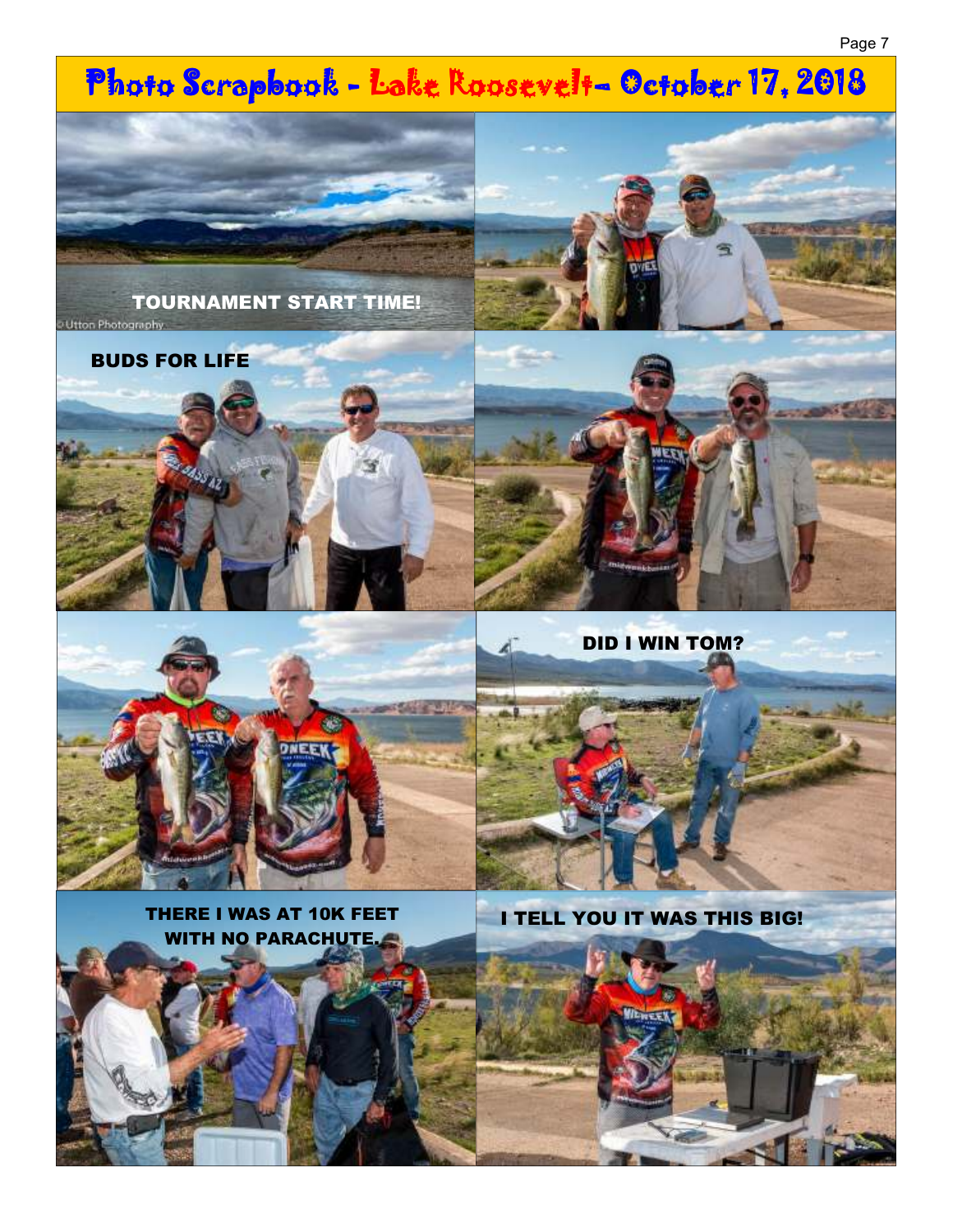#### Page 7

# Photo Scrapbook - Lake Roosevelt- October 17, 2018



BUDS FOR LIFE





DID I WIN TOM?



THERE I WAS AT 10K FEET WITH NO PARACHUTE.



I TELL YOU IT WAS THIS BIG!